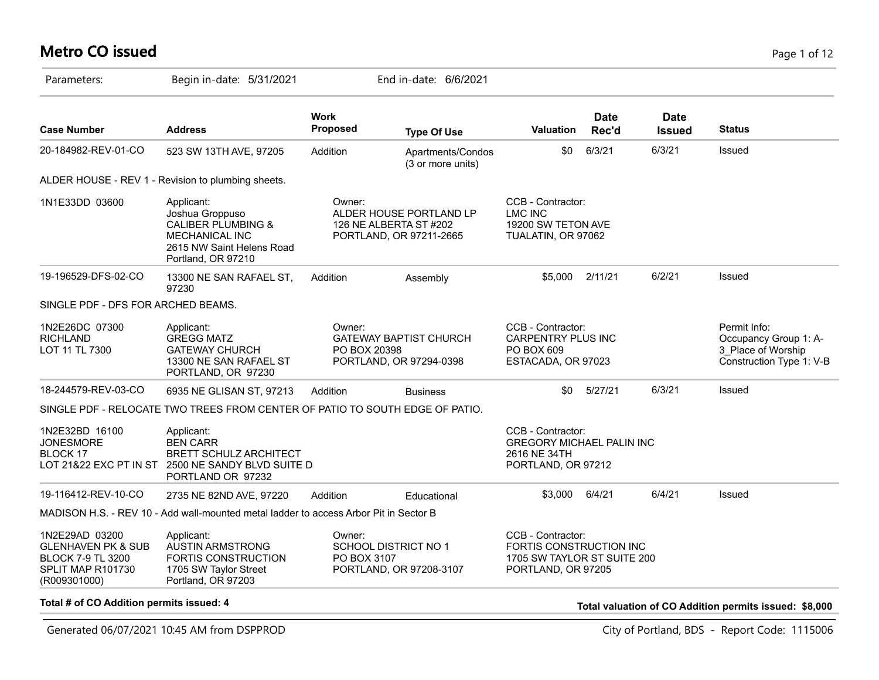#### **Metro CO issued** Page 1 of 12

| Parameters:                                                                                                      | Begin in-date: 5/31/2021                                                                                                                   |                                                                                    | End in-date: 6/6/2021                                                        |                                                                                                   |                      |                              |                                                                                         |
|------------------------------------------------------------------------------------------------------------------|--------------------------------------------------------------------------------------------------------------------------------------------|------------------------------------------------------------------------------------|------------------------------------------------------------------------------|---------------------------------------------------------------------------------------------------|----------------------|------------------------------|-----------------------------------------------------------------------------------------|
| <b>Case Number</b>                                                                                               | <b>Address</b>                                                                                                                             | <b>Work</b><br><b>Proposed</b>                                                     | <b>Type Of Use</b>                                                           | <b>Valuation</b>                                                                                  | <b>Date</b><br>Rec'd | <b>Date</b><br><b>Issued</b> | <b>Status</b>                                                                           |
| 20-184982-REV-01-CO                                                                                              | 523 SW 13TH AVE, 97205                                                                                                                     | Addition                                                                           | Apartments/Condos<br>(3 or more units)                                       | \$0                                                                                               | 6/3/21               | 6/3/21                       | Issued                                                                                  |
|                                                                                                                  | ALDER HOUSE - REV 1 - Revision to plumbing sheets.                                                                                         |                                                                                    |                                                                              |                                                                                                   |                      |                              |                                                                                         |
| 1N1E33DD 03600                                                                                                   | Applicant:<br>Joshua Groppuso<br><b>CALIBER PLUMBING &amp;</b><br><b>MECHANICAL INC</b><br>2615 NW Saint Helens Road<br>Portland, OR 97210 | Owner:                                                                             | ALDER HOUSE PORTLAND LP<br>126 NE ALBERTA ST #202<br>PORTLAND, OR 97211-2665 | CCB - Contractor:<br><b>LMC INC</b><br>19200 SW TETON AVE<br>TUALATIN, OR 97062                   |                      |                              |                                                                                         |
| 19-196529-DFS-02-CO                                                                                              | 13300 NE SAN RAFAEL ST,<br>97230                                                                                                           | Addition                                                                           | Assembly                                                                     | \$5.000                                                                                           | 2/11/21              | 6/2/21                       | Issued                                                                                  |
| SINGLE PDF - DFS FOR ARCHED BEAMS.                                                                               |                                                                                                                                            |                                                                                    |                                                                              |                                                                                                   |                      |                              |                                                                                         |
| 1N2E26DC 07300<br><b>RICHLAND</b><br>LOT 11 TL 7300                                                              | Applicant:<br><b>GREGG MATZ</b><br><b>GATEWAY CHURCH</b><br>13300 NE SAN RAFAEL ST<br>PORTLAND, OR 97230                                   | Owner:<br><b>GATEWAY BAPTIST CHURCH</b><br>PO BOX 20398<br>PORTLAND, OR 97294-0398 |                                                                              | CCB - Contractor:<br><b>CARPENTRY PLUS INC</b><br>PO BOX 609<br>ESTACADA, OR 97023                |                      |                              | Permit Info:<br>Occupancy Group 1: A-<br>3_Place of Worship<br>Construction Type 1: V-B |
| 18-244579-REV-03-CO                                                                                              | 6935 NE GLISAN ST, 97213                                                                                                                   | Addition                                                                           | <b>Business</b>                                                              | \$0                                                                                               | 5/27/21              | 6/3/21                       | Issued                                                                                  |
|                                                                                                                  | SINGLE PDF - RELOCATE TWO TREES FROM CENTER OF PATIO TO SOUTH EDGE OF PATIO.                                                               |                                                                                    |                                                                              |                                                                                                   |                      |                              |                                                                                         |
| 1N2E32BD 16100<br><b>JONESMORE</b><br>BLOCK 17                                                                   | Applicant:<br><b>BEN CARR</b><br><b>BRETT SCHULZ ARCHITECT</b><br>LOT 21&22 EXC PT IN ST 2500 NE SANDY BLVD SUITE D<br>PORTLAND OR 97232   |                                                                                    |                                                                              | CCB - Contractor:<br><b>GREGORY MICHAEL PALIN INC</b><br>2616 NE 34TH<br>PORTLAND, OR 97212       |                      |                              |                                                                                         |
| 19-116412-REV-10-CO                                                                                              | 2735 NE 82ND AVE, 97220                                                                                                                    | Addition                                                                           | Educational                                                                  | \$3,000                                                                                           | 6/4/21               | 6/4/21                       | Issued                                                                                  |
|                                                                                                                  | MADISON H.S. - REV 10 - Add wall-mounted metal ladder to access Arbor Pit in Sector B                                                      |                                                                                    |                                                                              |                                                                                                   |                      |                              |                                                                                         |
| 1N2E29AD 03200<br><b>GLENHAVEN PK &amp; SUB</b><br><b>BLOCK 7-9 TL 3200</b><br>SPLIT MAP R101730<br>(R009301000) | Applicant:<br><b>AUSTIN ARMSTRONG</b><br><b>FORTIS CONSTRUCTION</b><br>1705 SW Taylor Street<br>Portland, OR 97203                         | Owner:<br><b>SCHOOL DISTRICT NO 1</b><br>PO BOX 3107<br>PORTLAND, OR 97208-3107    |                                                                              | CCB - Contractor:<br>FORTIS CONSTRUCTION INC<br>1705 SW TAYLOR ST SUITE 200<br>PORTLAND, OR 97205 |                      |                              |                                                                                         |

**Total # of CO Addition permits issued: 4 Total valuation of CO Addition permits issued: \$8,000**

Generated 06/07/2021 10:45 AM from DSPPROD City of Portland, BDS - Report Code: 1115006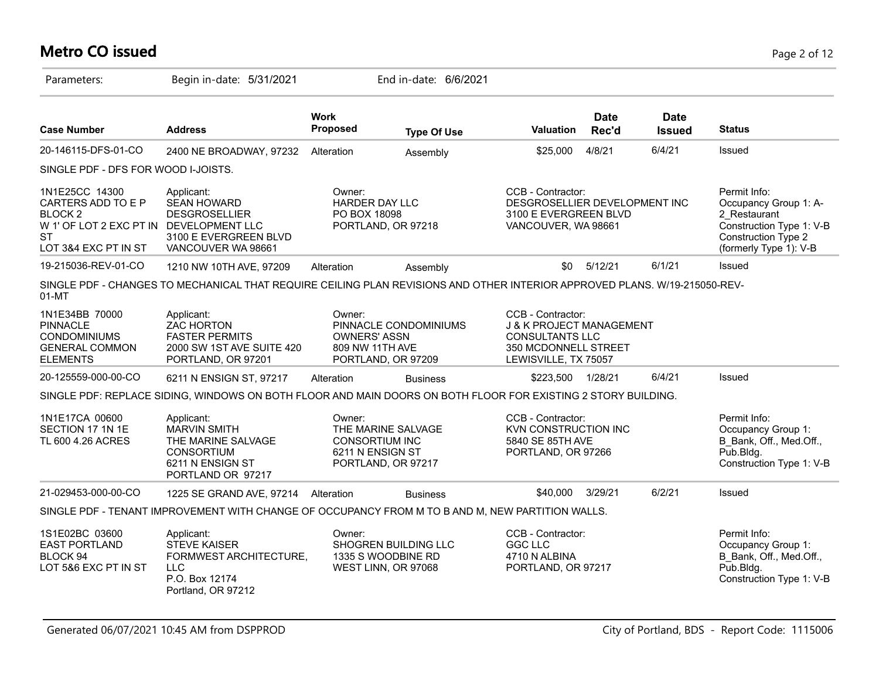# **Metro CO issued** Page 2 of 12

| Parameters:                                                                                                                         | Begin in-date: 5/31/2021                                                                                                   |                                                                                                 | End in-date: 6/6/2021                                             |                                                                                                                         |                                                                                                    |                              |                                                                                                                                    |
|-------------------------------------------------------------------------------------------------------------------------------------|----------------------------------------------------------------------------------------------------------------------------|-------------------------------------------------------------------------------------------------|-------------------------------------------------------------------|-------------------------------------------------------------------------------------------------------------------------|----------------------------------------------------------------------------------------------------|------------------------------|------------------------------------------------------------------------------------------------------------------------------------|
| <b>Case Number</b>                                                                                                                  | <b>Address</b>                                                                                                             | <b>Work</b><br>Proposed                                                                         | <b>Type Of Use</b>                                                | Valuation                                                                                                               | <b>Date</b><br>Rec'd                                                                               | <b>Date</b><br><b>Issued</b> | <b>Status</b>                                                                                                                      |
| 20-146115-DFS-01-CO                                                                                                                 | 2400 NE BROADWAY, 97232                                                                                                    | Alteration                                                                                      | Assembly                                                          | \$25,000                                                                                                                | 4/8/21                                                                                             | 6/4/21                       | Issued                                                                                                                             |
| SINGLE PDF - DFS FOR WOOD I-JOISTS.                                                                                                 |                                                                                                                            |                                                                                                 |                                                                   |                                                                                                                         |                                                                                                    |                              |                                                                                                                                    |
| 1N1E25CC 14300<br>CARTERS ADD TO E P<br>BLOCK <sub>2</sub><br>W 1' OF LOT 2 EXC PT IN DEVELOPMENT LLC<br>ST<br>LOT 3&4 EXC PT IN ST | Applicant:<br><b>SEAN HOWARD</b><br><b>DESGROSELLIER</b><br>3100 E EVERGREEN BLVD<br>VANCOUVER WA 98661                    | Owner:                                                                                          | HARDER DAY LLC<br>PO BOX 18098<br>PORTLAND, OR 97218              |                                                                                                                         | CCB - Contractor:<br>DESGROSELLIER DEVELOPMENT INC<br>3100 E EVERGREEN BLVD<br>VANCOUVER, WA 98661 |                              | Permit Info:<br>Occupancy Group 1: A-<br>2 Restaurant<br>Construction Type 1: V-B<br>Construction Type 2<br>(formerly Type 1): V-B |
| 19-215036-REV-01-CO                                                                                                                 | 1210 NW 10TH AVE, 97209                                                                                                    | Alteration                                                                                      | Assembly                                                          | \$0                                                                                                                     | 5/12/21                                                                                            | 6/1/21                       | Issued                                                                                                                             |
| 01-MT                                                                                                                               | SINGLE PDF - CHANGES TO MECHANICAL THAT REQUIRE CEILING PLAN REVISIONS AND OTHER INTERIOR APPROVED PLANS. W/19-215050-REV- |                                                                                                 |                                                                   |                                                                                                                         |                                                                                                    |                              |                                                                                                                                    |
| 1N1E34BB 70000<br><b>PINNACLE</b><br><b>CONDOMINIUMS</b><br><b>GENERAL COMMON</b><br><b>ELEMENTS</b>                                | Applicant:<br><b>ZAC HORTON</b><br><b>FASTER PERMITS</b><br>2000 SW 1ST AVE SUITE 420<br>PORTLAND, OR 97201                | Owner:<br>PINNACLE CONDOMINIUMS<br><b>OWNERS' ASSN</b><br>809 NW 11TH AVE<br>PORTLAND, OR 97209 |                                                                   | CCB - Contractor:<br>J & K PROJECT MANAGEMENT<br><b>CONSULTANTS LLC</b><br>350 MCDONNELL STREET<br>LEWISVILLE, TX 75057 |                                                                                                    |                              |                                                                                                                                    |
| 20-125559-000-00-CO                                                                                                                 | 6211 N ENSIGN ST, 97217                                                                                                    | Alteration                                                                                      | <b>Business</b>                                                   | \$223,500                                                                                                               | 1/28/21                                                                                            | 6/4/21                       | Issued                                                                                                                             |
|                                                                                                                                     | SINGLE PDF: REPLACE SIDING, WINDOWS ON BOTH FLOOR AND MAIN DOORS ON BOTH FLOOR FOR EXISTING 2 STORY BUILDING.              |                                                                                                 |                                                                   |                                                                                                                         |                                                                                                    |                              |                                                                                                                                    |
| 1N1E17CA 00600<br>SECTION 17 1N 1E<br>TL 600 4.26 ACRES                                                                             | Applicant:<br><b>MARVIN SMITH</b><br>THE MARINE SALVAGE<br><b>CONSORTIUM</b><br>6211 N ENSIGN ST<br>PORTLAND OR 97217      | Owner:<br><b>CONSORTIUM INC</b><br>6211 N ENSIGN ST                                             | THE MARINE SALVAGE<br>PORTLAND, OR 97217                          | CCB - Contractor:<br>KVN CONSTRUCTION INC<br>5840 SE 85TH AVE<br>PORTLAND, OR 97266                                     |                                                                                                    |                              | Permit Info:<br>Occupancy Group 1:<br>B Bank, Off., Med.Off.,<br>$P$ ub.Bldg.<br>Construction Type 1: V-B                          |
| 21-029453-000-00-CO                                                                                                                 | 1225 SE GRAND AVE, 97214                                                                                                   | Alteration                                                                                      | <b>Business</b>                                                   | \$40,000                                                                                                                | 3/29/21                                                                                            | 6/2/21                       | Issued                                                                                                                             |
|                                                                                                                                     | SINGLE PDF - TENANT IMPROVEMENT WITH CHANGE OF OCCUPANCY FROM M TO B AND M, NEW PARTITION WALLS.                           |                                                                                                 |                                                                   |                                                                                                                         |                                                                                                    |                              |                                                                                                                                    |
| 1S1E02BC 03600<br><b>EAST PORTLAND</b><br>BLOCK 94<br>LOT 5&6 EXC PT IN ST                                                          | Applicant:<br><b>STEVE KAISER</b><br>FORMWEST ARCHITECTURE,<br><b>LLC</b><br>P.O. Box 12174<br>Portland, OR 97212          | Owner:                                                                                          | SHOGREN BUILDING LLC<br>1335 S WOODBINE RD<br>WEST LINN, OR 97068 | CCB - Contractor:<br><b>GGC LLC</b><br>4710 N ALBINA<br>PORTLAND, OR 97217                                              |                                                                                                    |                              | Permit Info:<br>Occupancy Group 1:<br>B Bank, Off., Med.Off.,<br>$P$ ub.Bldg.<br>Construction Type 1: V-B                          |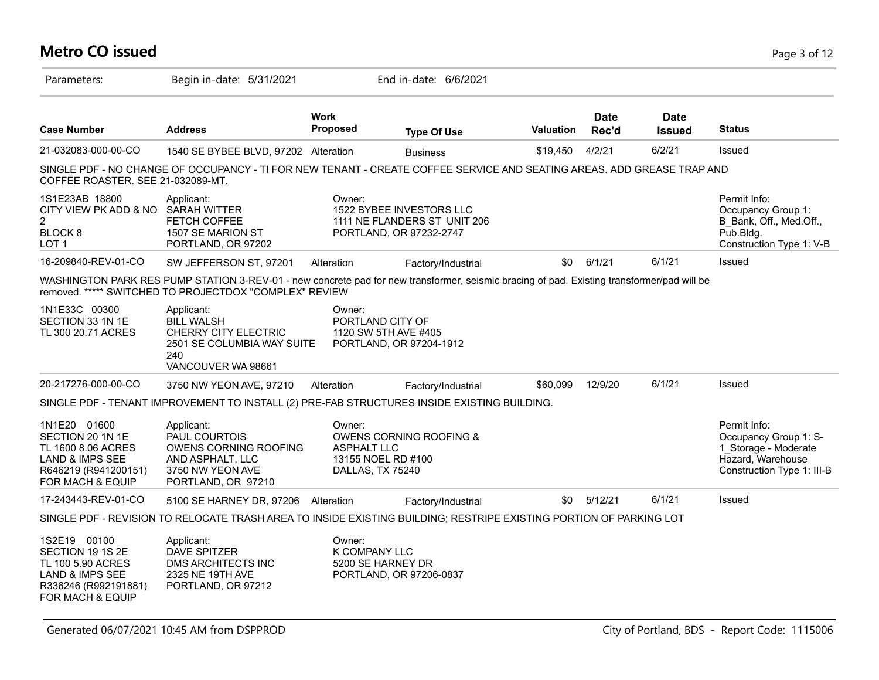#### Parameters: Begin in-date: 5/31/2021 End in-date: 6/6/2021 **Work Case Number Address Proposed Type Of Use Valuation Status Date Rec'd Date Issued** 21-032083-000-00-CO 1540 SE BYBEE BLVD, 97202 Alteration Business \$19,450 4/2/21 6/2/21 Issued SINGLE PDF - NO CHANGE OF OCCUPANCY - TI FOR NEW TENANT - CREATE COFFEE SERVICE AND SEATING AREAS. ADD GREASE TRAP AND COFFEE ROASTER. SEE 21-032089-MT. 1S1E23AB 18800 CITY VIEW PK ADD & NO SARAH WITTER 2 BLOCK 8 LOT 1 Permit Info: Occupancy Group 1: B\_Bank, Off., Med.Off., Pub.Bldg. Construction Type 1: V-B Owner: 1522 BYBEE INVESTORS LLC 1111 NE FLANDERS ST UNIT 206 PORTLAND, OR 97232-2747 Applicant: FETCH COFFEE 1507 SE MARION ST PORTLAND, OR 97202 16-209840-REV-01-CO SW JEFFERSON ST, 97201 Alteration Factory/Industrial \$0 6/1/21 6/1/21 Issued WASHINGTON PARK RES PUMP STATION 3-REV-01 - new concrete pad for new transformer, seismic bracing of pad. Existing transformer/pad will be removed. \*\*\*\*\* SWITCHED TO PROJECTDOX "COMPLEX" REVIEW 1N1E33C 00300 SECTION 33 1N 1E TL 300 20.71 ACRES Owner: PORTLAND CITY OF 1120 SW 5TH AVE #405 PORTLAND, OR 97204-1912 Applicant: BILL WALSH CHERRY CITY ELECTRIC 2501 SE COLUMBIA WAY SUITE 240 VANCOUVER WA 98661 20-217276-000-00-CO 3750 NW YEON AVE, 97210 Alteration Factory/Industrial \$60,099 12/9/20 6/1/21 Issued SINGLE PDF - TENANT IMPROVEMENT TO INSTALL (2) PRE-FAB STRUCTURES INSIDE EXISTING BUILDING. 1N1E20 01600 SECTION 20 1N 1E TL 1600 8.06 ACRES LAND & IMPS SEE R646219 (R941200151) FOR MACH & EQUIP Permit Info: Occupancy Group 1: S-1\_Storage - Moderate Hazard, Warehouse Construction Type 1: III-B Owner: OWENS CORNING ROOFING & **ASPHALTILC** 13155 NOEL RD #100 DALLAS, TX 75240 Applicant: PAUL COURTOIS OWENS CORNING ROOFING AND ASPHALT, LLC 3750 NW YEON AVE PORTLAND, OR 97210 17-243443-REV-01-CO 5100 SE HARNEY DR, 97206 Alteration Factory/Industrial \$0 5/12/21 6/1/21 Issued SINGLE PDF - REVISION TO RELOCATE TRASH AREA TO INSIDE EXISTING BUILDING; RESTRIPE EXISTING PORTION OF PARKING LOT 1S2E19 00100 SECTION 19 1S 2E TL 100 5.90 ACRES LAND & IMPS SEE R336246 (R992191881) FOR MACH & EQUIP Owner: K COMPANY LLC 5200 SE HARNEY DR PORTLAND, OR 97206-0837 Applicant: DAVE SPITZER DMS ARCHITECTS INC 2325 NE 19TH AVE PORTLAND, OR 97212

**Metro CO issued** Page 3 of 12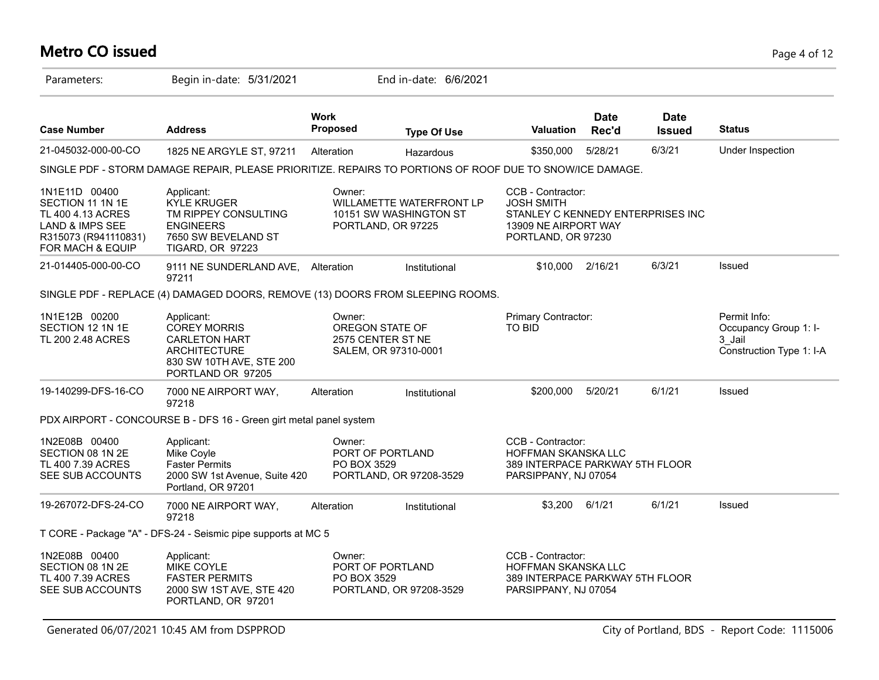#### **Metro CO issued** Page 4 of 12

| Parameters:                                                                                                                      | Begin in-date: 5/31/2021                                                                                                          |                                                                        | End in-date: 6/6/2021                                                                                              |                                                                                                            |                                                                                 |                              |                                                                             |
|----------------------------------------------------------------------------------------------------------------------------------|-----------------------------------------------------------------------------------------------------------------------------------|------------------------------------------------------------------------|--------------------------------------------------------------------------------------------------------------------|------------------------------------------------------------------------------------------------------------|---------------------------------------------------------------------------------|------------------------------|-----------------------------------------------------------------------------|
| <b>Case Number</b>                                                                                                               | <b>Address</b>                                                                                                                    | <b>Work</b><br>Proposed                                                | <b>Type Of Use</b>                                                                                                 | Valuation                                                                                                  | <b>Date</b><br>Rec'd                                                            | <b>Date</b><br><b>Issued</b> | <b>Status</b>                                                               |
| 21-045032-000-00-CO                                                                                                              | 1825 NE ARGYLE ST, 97211                                                                                                          | Alteration                                                             | Hazardous                                                                                                          | \$350,000                                                                                                  | 5/28/21                                                                         | 6/3/21                       | Under Inspection                                                            |
|                                                                                                                                  | SINGLE PDF - STORM DAMAGE REPAIR, PLEASE PRIORITIZE. REPAIRS TO PORTIONS OF ROOF DUE TO SNOW/ICE DAMAGE.                          |                                                                        |                                                                                                                    |                                                                                                            |                                                                                 |                              |                                                                             |
| 1N1E11D 00400<br>SECTION 11 1N 1E<br>TL 400 4.13 ACRES<br><b>LAND &amp; IMPS SEE</b><br>R315073 (R941110831)<br>FOR MACH & EQUIP | Applicant:<br><b>KYLE KRUGER</b><br>TM RIPPEY CONSULTING<br><b>ENGINEERS</b><br>7650 SW BEVELAND ST<br><b>TIGARD, OR 97223</b>    | Owner:                                                                 | CCB - Contractor:<br>WILLAMETTE WATERFRONT LP<br><b>JOSH SMITH</b><br>10151 SW WASHINGTON ST<br>PORTLAND, OR 97225 |                                                                                                            | STANLEY C KENNEDY ENTERPRISES INC<br>13909 NE AIRPORT WAY<br>PORTLAND, OR 97230 |                              |                                                                             |
| 21-014405-000-00-CO                                                                                                              | 9111 NE SUNDERLAND AVE,<br>97211                                                                                                  | Alteration                                                             | Institutional                                                                                                      | \$10,000 2/16/21                                                                                           |                                                                                 | 6/3/21                       | Issued                                                                      |
|                                                                                                                                  | SINGLE PDF - REPLACE (4) DAMAGED DOORS, REMOVE (13) DOORS FROM SLEEPING ROOMS.                                                    |                                                                        |                                                                                                                    |                                                                                                            |                                                                                 |                              |                                                                             |
| 1N1E12B 00200<br>SECTION 12 1N 1E<br>TL 200 2.48 ACRES                                                                           | Applicant:<br><b>COREY MORRIS</b><br><b>CARLETON HART</b><br><b>ARCHITECTURE</b><br>830 SW 10TH AVE, STE 200<br>PORTLAND OR 97205 | Owner:<br>OREGON STATE OF<br>2575 CENTER ST NE<br>SALEM, OR 97310-0001 |                                                                                                                    | Primary Contractor:<br>TO BID                                                                              |                                                                                 |                              | Permit Info:<br>Occupancy Group 1: I-<br>3 Jail<br>Construction Type 1: I-A |
| 19-140299-DFS-16-CO                                                                                                              | 7000 NE AIRPORT WAY,<br>97218                                                                                                     | Alteration                                                             | Institutional                                                                                                      | \$200,000                                                                                                  | 5/20/21                                                                         | 6/1/21                       | Issued                                                                      |
|                                                                                                                                  | PDX AIRPORT - CONCOURSE B - DFS 16 - Green girt metal panel system                                                                |                                                                        |                                                                                                                    |                                                                                                            |                                                                                 |                              |                                                                             |
| 1N2E08B 00400<br>SECTION 08 1N 2E<br>TL 400 7.39 ACRES<br>SEE SUB ACCOUNTS                                                       | Applicant:<br>Mike Coyle<br><b>Faster Permits</b><br>2000 SW 1st Avenue, Suite 420<br>Portland, OR 97201                          | Owner:<br>PO BOX 3529                                                  | PORT OF PORTLAND<br>PORTLAND, OR 97208-3529                                                                        | CCB - Contractor:<br><b>HOFFMAN SKANSKA LLC</b><br>389 INTERPACE PARKWAY 5TH FLOOR<br>PARSIPPANY, NJ 07054 |                                                                                 |                              |                                                                             |
| 19-267072-DFS-24-CO                                                                                                              | 7000 NE AIRPORT WAY,<br>97218                                                                                                     | Alteration                                                             | Institutional                                                                                                      | \$3,200                                                                                                    | 6/1/21                                                                          | 6/1/21                       | Issued                                                                      |
|                                                                                                                                  | T CORE - Package "A" - DFS-24 - Seismic pipe supports at MC 5                                                                     |                                                                        |                                                                                                                    |                                                                                                            |                                                                                 |                              |                                                                             |
| 1N2E08B 00400<br>SECTION 08 1N 2E<br>TL 400 7.39 ACRES<br>SEE SUB ACCOUNTS                                                       | Applicant:<br>MIKE COYLE<br><b>FASTER PERMITS</b><br>2000 SW 1ST AVE, STE 420<br>PORTLAND, OR 97201                               | Owner:<br>PO BOX 3529                                                  | PORT OF PORTLAND<br>PORTLAND, OR 97208-3529                                                                        | CCB - Contractor:<br><b>HOFFMAN SKANSKA LLC</b><br>389 INTERPACE PARKWAY 5TH FLOOR<br>PARSIPPANY, NJ 07054 |                                                                                 |                              |                                                                             |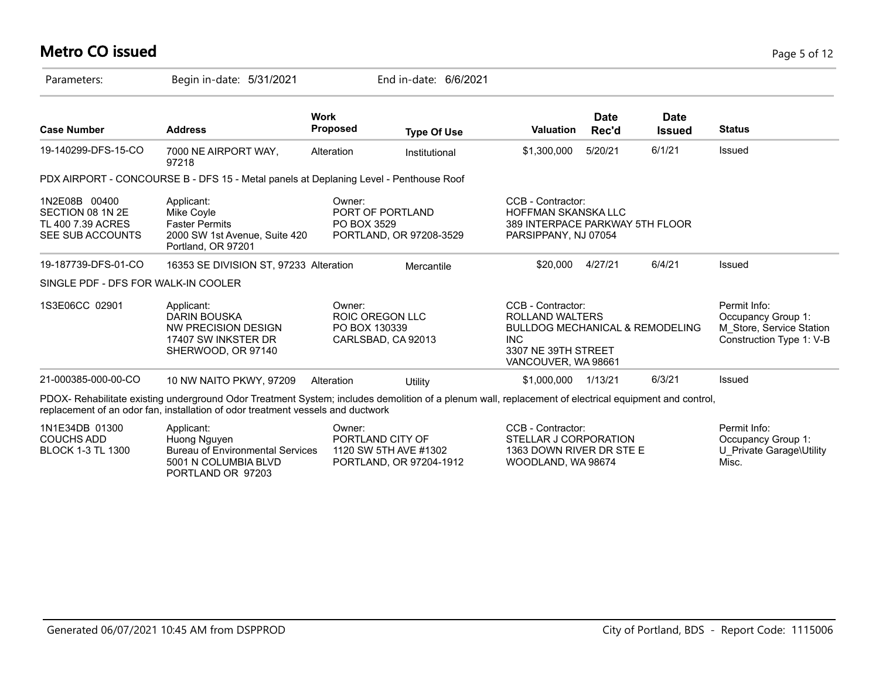#### **Metro CO issued** Page 5 of 12

BLOCK 1-3 TL 1300

| Parameters:                                                                | Begin in-date: 5/31/2021                                                                                                                                                                                                                 |                                                                         | End in-date: 6/6/2021 |                                                                                                                                                |                      |                              |                                                                                            |
|----------------------------------------------------------------------------|------------------------------------------------------------------------------------------------------------------------------------------------------------------------------------------------------------------------------------------|-------------------------------------------------------------------------|-----------------------|------------------------------------------------------------------------------------------------------------------------------------------------|----------------------|------------------------------|--------------------------------------------------------------------------------------------|
| <b>Case Number</b>                                                         | <b>Address</b>                                                                                                                                                                                                                           | <b>Work</b><br><b>Proposed</b>                                          | <b>Type Of Use</b>    | <b>Valuation</b>                                                                                                                               | <b>Date</b><br>Rec'd | <b>Date</b><br><b>Issued</b> | <b>Status</b>                                                                              |
| 19-140299-DFS-15-CO                                                        | 7000 NE AIRPORT WAY,<br>97218                                                                                                                                                                                                            | Alteration                                                              | Institutional         | \$1,300,000                                                                                                                                    | 5/20/21              | 6/1/21                       | Issued                                                                                     |
|                                                                            | PDX AIRPORT - CONCOURSE B - DFS 15 - Metal panels at Deplaning Level - Penthouse Roof                                                                                                                                                    |                                                                         |                       |                                                                                                                                                |                      |                              |                                                                                            |
| 1N2E08B 00400<br>SECTION 08 1N 2E<br>TL 400 7.39 ACRES<br>SEE SUB ACCOUNTS | Applicant:<br>Mike Coyle<br><b>Faster Permits</b><br>2000 SW 1st Avenue, Suite 420<br>Portland, OR 97201                                                                                                                                 | Owner:<br>PORT OF PORTLAND<br>PO BOX 3529<br>PORTLAND, OR 97208-3529    |                       | CCB - Contractor:<br><b>HOFFMAN SKANSKA LLC</b><br>389 INTERPACE PARKWAY 5TH FLOOR<br>PARSIPPANY, NJ 07054                                     |                      |                              |                                                                                            |
| 19-187739-DFS-01-CO                                                        | 16353 SE DIVISION ST, 97233 Alteration                                                                                                                                                                                                   |                                                                         | Mercantile            | \$20,000                                                                                                                                       | 4/27/21              | 6/4/21                       | Issued                                                                                     |
| SINGLE PDF - DFS FOR WALK-IN COOLER                                        |                                                                                                                                                                                                                                          |                                                                         |                       |                                                                                                                                                |                      |                              |                                                                                            |
| 1S3E06CC 02901                                                             | Applicant:<br>DARIN BOUSKA<br>NW PRECISION DESIGN<br>17407 SW INKSTER DR<br>SHERWOOD, OR 97140                                                                                                                                           | Owner:<br><b>ROIC OREGON LLC</b><br>PO BOX 130339<br>CARLSBAD, CA 92013 |                       | CCB - Contractor:<br>ROLLAND WALTERS<br><b>BULLDOG MECHANICAL &amp; REMODELING</b><br><b>INC</b><br>3307 NE 39TH STREET<br>VANCOUVER, WA 98661 |                      |                              | Permit Info:<br>Occupancy Group 1:<br>M Store, Service Station<br>Construction Type 1: V-B |
| 21-000385-000-00-CO                                                        | 10 NW NAITO PKWY, 97209                                                                                                                                                                                                                  | Alteration                                                              | Utility               | \$1,000,000                                                                                                                                    | 1/13/21              | 6/3/21                       | Issued                                                                                     |
|                                                                            | PDOX- Rehabilitate existing underground Odor Treatment System; includes demolition of a plenum wall, replacement of electrical equipment and control,<br>replacement of an odor fan, installation of odor treatment vessels and ductwork |                                                                         |                       |                                                                                                                                                |                      |                              |                                                                                            |
| 1N1E34DB 01300<br><b>COUCHS ADD</b>                                        | Applicant:<br>Huong Nguyen                                                                                                                                                                                                               | Owner:                                                                  | PORTLAND CITY OF      | CCB - Contractor:<br><b>STELLAR J CORPORATION</b>                                                                                              |                      |                              | Permit Info:<br>Occupancy Group 1:                                                         |

1120 SW 5TH AVE #1302 PORTLAND, OR 97204-1912

Bureau of Environmental Services 5001 N COLUMBIA BLVD PORTLAND OR 97203

U\_Private Garage\Utility

Misc.

1363 DOWN RIVER DR STE E WOODLAND, WA 98674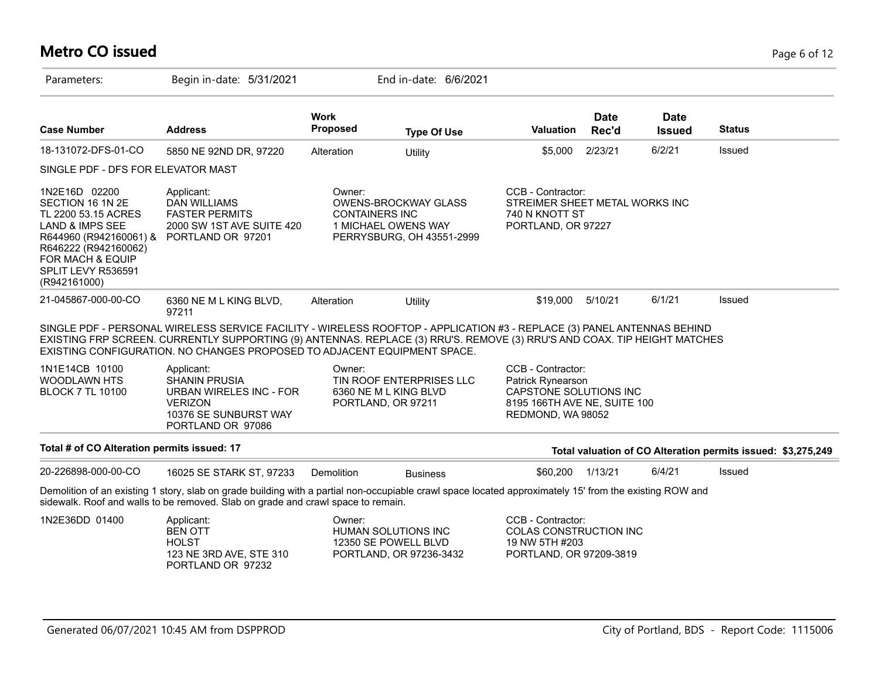# **Metro CO issued** Page 6 of 12

| Parameters:                                                                                                                                                                                        | Begin in-date: 5/31/2021                                                                                                                                                                                                                                                                                                        |                                 | End in-date: 6/6/2021                                                           |                                                                                                                       |                      |                              |                                                              |
|----------------------------------------------------------------------------------------------------------------------------------------------------------------------------------------------------|---------------------------------------------------------------------------------------------------------------------------------------------------------------------------------------------------------------------------------------------------------------------------------------------------------------------------------|---------------------------------|---------------------------------------------------------------------------------|-----------------------------------------------------------------------------------------------------------------------|----------------------|------------------------------|--------------------------------------------------------------|
| <b>Case Number</b>                                                                                                                                                                                 | <b>Address</b>                                                                                                                                                                                                                                                                                                                  | <b>Work</b><br><b>Proposed</b>  | <b>Type Of Use</b>                                                              | <b>Valuation</b>                                                                                                      | <b>Date</b><br>Rec'd | <b>Date</b><br><b>Issued</b> | <b>Status</b>                                                |
| 18-131072-DFS-01-CO                                                                                                                                                                                | 5850 NE 92ND DR, 97220                                                                                                                                                                                                                                                                                                          | Alteration                      | Utility                                                                         | \$5,000                                                                                                               | 2/23/21              | 6/2/21                       | <b>Issued</b>                                                |
| SINGLE PDF - DFS FOR ELEVATOR MAST                                                                                                                                                                 |                                                                                                                                                                                                                                                                                                                                 |                                 |                                                                                 |                                                                                                                       |                      |                              |                                                              |
| 1N2E16D 02200<br>SECTION 16 1N 2E<br>TL 2200 53.15 ACRES<br><b>LAND &amp; IMPS SEE</b><br>R644960 (R942160061) &<br>R646222 (R942160062)<br>FOR MACH & EQUIP<br>SPLIT LEVY R536591<br>(R942161000) | Applicant:<br><b>DAN WILLIAMS</b><br><b>FASTER PERMITS</b><br>2000 SW 1ST AVE SUITE 420<br>PORTLAND OR 97201                                                                                                                                                                                                                    | Owner:<br><b>CONTAINERS INC</b> | <b>OWENS-BROCKWAY GLASS</b><br>1 MICHAEL OWENS WAY<br>PERRYSBURG, OH 43551-2999 | CCB - Contractor:<br>STREIMER SHEET METAL WORKS INC<br>740 N KNOTT ST<br>PORTLAND, OR 97227                           |                      |                              |                                                              |
| 21-045867-000-00-CO                                                                                                                                                                                | 6360 NE M L KING BLVD,<br>97211                                                                                                                                                                                                                                                                                                 | Alteration                      | Utility                                                                         | \$19,000                                                                                                              | 5/10/21              | 6/1/21                       | Issued                                                       |
|                                                                                                                                                                                                    | SINGLE PDF - PERSONAL WIRELESS SERVICE FACILITY - WIRELESS ROOFTOP - APPLICATION #3 - REPLACE (3) PANEL ANTENNAS BEHIND<br>EXISTING FRP SCREEN. CURRENTLY SUPPORTING (9) ANTENNAS. REPLACE (3) RRU'S. REMOVE (3) RRU'S AND COAX. TIP HEIGHT MATCHES<br>EXISTING CONFIGURATION. NO CHANGES PROPOSED TO ADJACENT EQUIPMENT SPACE. |                                 |                                                                                 |                                                                                                                       |                      |                              |                                                              |
| 1N1E14CB 10100<br><b>WOODLAWN HTS</b><br><b>BLOCK 7 TL 10100</b>                                                                                                                                   | Applicant:<br><b>SHANIN PRUSIA</b><br>URBAN WIRELES INC - FOR<br><b>VERIZON</b><br>10376 SE SUNBURST WAY<br>PORTLAND OR 97086                                                                                                                                                                                                   | Owner:                          | TIN ROOF ENTERPRISES LLC<br>6360 NE M L KING BLVD<br>PORTLAND, OR 97211         | CCB - Contractor:<br>Patrick Rynearson<br>CAPSTONE SOLUTIONS INC<br>8195 166TH AVE NE, SUITE 100<br>REDMOND, WA 98052 |                      |                              |                                                              |
| Total # of CO Alteration permits issued: 17                                                                                                                                                        |                                                                                                                                                                                                                                                                                                                                 |                                 |                                                                                 |                                                                                                                       |                      |                              | Total valuation of CO Alteration permits issued: \$3,275,249 |
| 20-226898-000-00-CO                                                                                                                                                                                | 16025 SE STARK ST, 97233                                                                                                                                                                                                                                                                                                        | Demolition                      | <b>Business</b>                                                                 | \$60,200                                                                                                              | 1/13/21              | 6/4/21                       | Issued                                                       |
|                                                                                                                                                                                                    | Demolition of an existing 1 story, slab on grade building with a partial non-occupiable crawl space located approximately 15' from the existing ROW and<br>sidewalk. Roof and walls to be removed. Slab on grade and crawl space to remain.                                                                                     |                                 |                                                                                 |                                                                                                                       |                      |                              |                                                              |
| 1N2E36DD 01400                                                                                                                                                                                     | Applicant:<br><b>BEN OTT</b><br><b>HOLST</b><br>123 NE 3RD AVE, STE 310<br>PORTLAND OR 97232                                                                                                                                                                                                                                    | Owner:                          | <b>HUMAN SOLUTIONS INC</b><br>12350 SE POWELL BLVD<br>PORTLAND, OR 97236-3432   | CCB - Contractor:<br>COLAS CONSTRUCTION INC<br>19 NW 5TH #203<br>PORTLAND, OR 97209-3819                              |                      |                              |                                                              |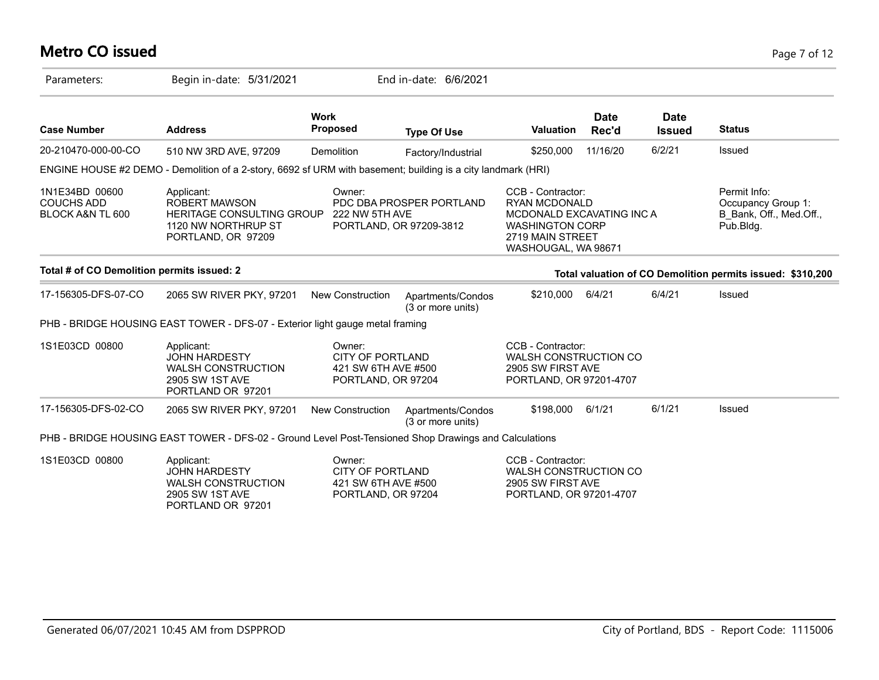# **Metro CO issued** Page 7 of 12

| Parameters:                                             | Begin in-date: 5/31/2021                                                                                     |                                                                                                                     | End in-date: 6/6/2021                                                |                                                                                            |                                                                                                                                             |                                                                            |                                                            |
|---------------------------------------------------------|--------------------------------------------------------------------------------------------------------------|---------------------------------------------------------------------------------------------------------------------|----------------------------------------------------------------------|--------------------------------------------------------------------------------------------|---------------------------------------------------------------------------------------------------------------------------------------------|----------------------------------------------------------------------------|------------------------------------------------------------|
| <b>Case Number</b>                                      | <b>Address</b>                                                                                               | <b>Work</b><br><b>Proposed</b>                                                                                      | <b>Type Of Use</b>                                                   | <b>Valuation</b>                                                                           | <b>Date</b><br>Rec'd                                                                                                                        | <b>Date</b><br><b>Issued</b>                                               | <b>Status</b>                                              |
| 20-210470-000-00-CO                                     | 510 NW 3RD AVE, 97209                                                                                        | Demolition                                                                                                          | Factory/Industrial                                                   | \$250,000                                                                                  | 11/16/20                                                                                                                                    | 6/2/21                                                                     | Issued                                                     |
|                                                         | ENGINE HOUSE #2 DEMO - Demolition of a 2-story, 6692 sf URM with basement; building is a city landmark (HRI) |                                                                                                                     |                                                                      |                                                                                            |                                                                                                                                             |                                                                            |                                                            |
| 1N1E34BD 00600<br><b>COUCHS ADD</b><br>BLOCK A&N TL 600 | Applicant:<br><b>ROBERT MAWSON</b><br>1120 NW NORTHRUP ST<br>PORTLAND, OR 97209                              | Owner:<br>PDC DBA PROSPER PORTLAND<br><b>HERITAGE CONSULTING GROUP</b><br>222 NW 5TH AVE<br>PORTLAND, OR 97209-3812 |                                                                      |                                                                                            | CCB - Contractor:<br><b>RYAN MCDONALD</b><br>MCDONALD EXCAVATING INC A<br><b>WASHINGTON CORP</b><br>2719 MAIN STREET<br>WASHOUGAL, WA 98671 | Permit Info:<br>Occupancy Group 1:<br>B Bank, Off., Med.Off.,<br>Pub.Bldg. |                                                            |
| Total # of CO Demolition permits issued: 2              |                                                                                                              |                                                                                                                     |                                                                      |                                                                                            |                                                                                                                                             |                                                                            | Total valuation of CO Demolition permits issued: \$310,200 |
| 17-156305-DFS-07-CO                                     | 2065 SW RIVER PKY, 97201                                                                                     | <b>New Construction</b>                                                                                             | Apartments/Condos<br>(3 or more units)                               | \$210,000                                                                                  | 6/4/21                                                                                                                                      | 6/4/21                                                                     | Issued                                                     |
|                                                         | PHB - BRIDGE HOUSING EAST TOWER - DFS-07 - Exterior light gauge metal framing                                |                                                                                                                     |                                                                      |                                                                                            |                                                                                                                                             |                                                                            |                                                            |
| 1S1E03CD 00800                                          | Applicant:<br><b>JOHN HARDESTY</b><br><b>WALSH CONSTRUCTION</b><br>2905 SW 1ST AVE<br>PORTLAND OR 97201      | Owner:                                                                                                              | <b>CITY OF PORTLAND</b><br>421 SW 6TH AVE #500<br>PORTLAND, OR 97204 |                                                                                            | CCB - Contractor:<br>WALSH CONSTRUCTION CO<br>2905 SW FIRST AVE<br>PORTLAND, OR 97201-4707                                                  |                                                                            |                                                            |
| 17-156305-DFS-02-CO                                     | 2065 SW RIVER PKY, 97201                                                                                     | New Construction                                                                                                    | Apartments/Condos<br>(3 or more units)                               | \$198,000                                                                                  | 6/1/21                                                                                                                                      | 6/1/21                                                                     | Issued                                                     |
|                                                         | PHB - BRIDGE HOUSING EAST TOWER - DFS-02 - Ground Level Post-Tensioned Shop Drawings and Calculations        |                                                                                                                     |                                                                      |                                                                                            |                                                                                                                                             |                                                                            |                                                            |
| 1S1E03CD 00800                                          | Applicant:<br><b>JOHN HARDESTY</b><br><b>WALSH CONSTRUCTION</b><br>2905 SW 1ST AVE<br>PORTLAND OR 97201      | Owner:<br><b>CITY OF PORTLAND</b><br>421 SW 6TH AVE #500<br>PORTLAND, OR 97204                                      |                                                                      | CCB - Contractor:<br>WALSH CONSTRUCTION CO<br>2905 SW FIRST AVE<br>PORTLAND, OR 97201-4707 |                                                                                                                                             |                                                                            |                                                            |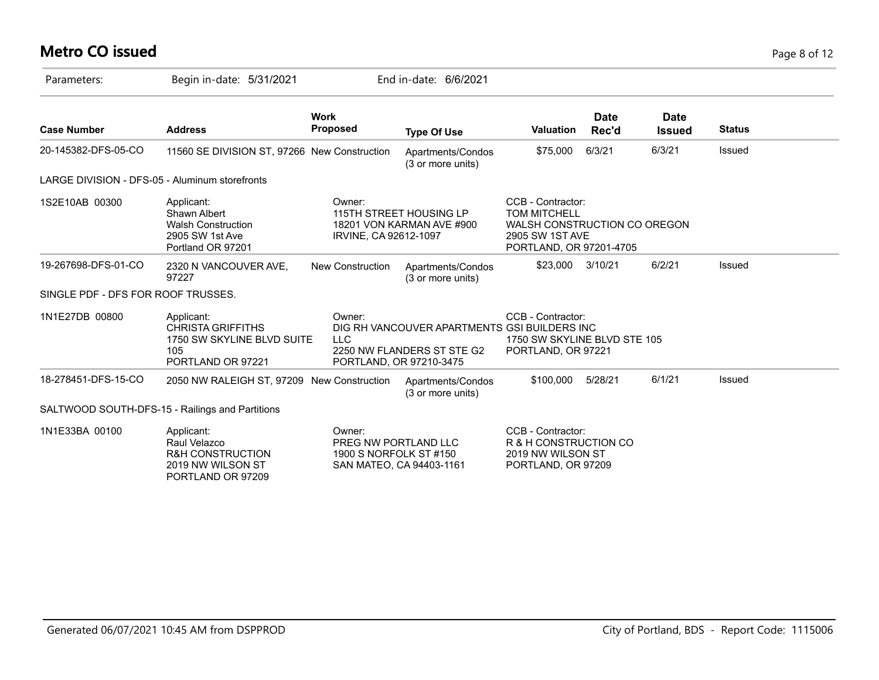# **Metro CO issued** Page 8 of 12

| Parameters:                                    | Begin in-date: 5/31/2021                                                                            |                                                          | End in-date: 6/6/2021                                                                                 |                                                                                                                        |                      |                              |               |
|------------------------------------------------|-----------------------------------------------------------------------------------------------------|----------------------------------------------------------|-------------------------------------------------------------------------------------------------------|------------------------------------------------------------------------------------------------------------------------|----------------------|------------------------------|---------------|
| <b>Case Number</b>                             | <b>Address</b>                                                                                      | <b>Work</b><br><b>Proposed</b>                           | <b>Type Of Use</b>                                                                                    | <b>Valuation</b>                                                                                                       | <b>Date</b><br>Rec'd | <b>Date</b><br><b>Issued</b> | <b>Status</b> |
| 20-145382-DFS-05-CO                            | 11560 SE DIVISION ST, 97266 New Construction                                                        |                                                          | Apartments/Condos<br>(3 or more units)                                                                | \$75,000                                                                                                               | 6/3/21               | 6/3/21                       | Issued        |
| LARGE DIVISION - DFS-05 - Aluminum storefronts |                                                                                                     |                                                          |                                                                                                       |                                                                                                                        |                      |                              |               |
| 1S2E10AB 00300                                 | Applicant:<br>Shawn Albert<br><b>Walsh Construction</b><br>2905 SW 1st Ave<br>Portland OR 97201     | Owner:<br>IRVINE, CA 92612-1097                          | 115TH STREET HOUSING LP<br>18201 VON KARMAN AVE #900                                                  | CCB - Contractor:<br><b>TOM MITCHELL</b><br>WALSH CONSTRUCTION CO OREGON<br>2905 SW 1ST AVE<br>PORTLAND, OR 97201-4705 |                      |                              |               |
| 19-267698-DFS-01-CO                            | 2320 N VANCOUVER AVE,<br>97227                                                                      | <b>New Construction</b>                                  | Apartments/Condos<br>(3 or more units)                                                                | \$23,000 3/10/21                                                                                                       |                      | 6/2/21                       | Issued        |
| SINGLE PDF - DFS FOR ROOF TRUSSES.             |                                                                                                     |                                                          |                                                                                                       |                                                                                                                        |                      |                              |               |
| 1N1E27DB 00800                                 | Applicant:<br><b>CHRISTA GRIFFITHS</b><br>1750 SW SKYLINE BLVD SUITE<br>105<br>PORTLAND OR 97221    | Owner:<br><b>LLC</b>                                     | DIG RH VANCOUVER APARTMENTS GSI BUILDERS INC<br>2250 NW FLANDERS ST STE G2<br>PORTLAND, OR 97210-3475 | CCB - Contractor:<br>1750 SW SKYLINE BLVD STE 105<br>PORTLAND, OR 97221                                                |                      |                              |               |
| 18-278451-DFS-15-CO                            | 2050 NW RALEIGH ST, 97209 New Construction                                                          |                                                          | Apartments/Condos<br>(3 or more units)                                                                | \$100,000                                                                                                              | 5/28/21              | 6/1/21                       | Issued        |
|                                                | SALTWOOD SOUTH-DFS-15 - Railings and Partitions                                                     |                                                          |                                                                                                       |                                                                                                                        |                      |                              |               |
| 1N1E33BA 00100                                 | Applicant:<br>Raul Velazco<br><b>R&amp;H CONSTRUCTION</b><br>2019 NW WILSON ST<br>PORTLAND OR 97209 | Owner:<br>PREG NW PORTLAND LLC<br>1900 S NORFOLK ST #150 | SAN MATEO, CA 94403-1161                                                                              | CCB - Contractor:<br>R & H CONSTRUCTION CO<br>2019 NW WILSON ST<br>PORTLAND, OR 97209                                  |                      |                              |               |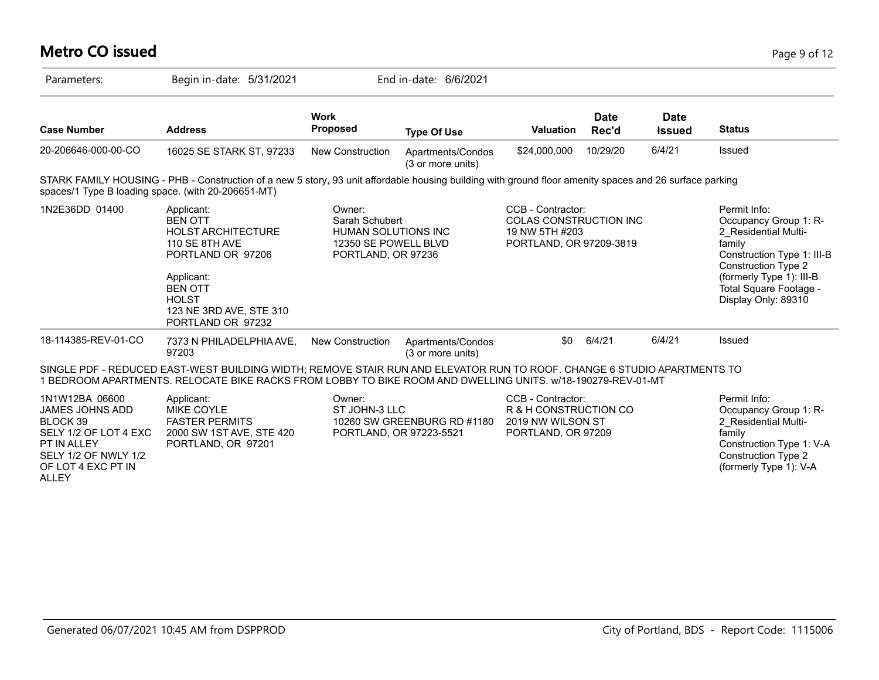# **Metro CO issued** Page 9 of 12

| Parameters:                                                                                                                                                | Begin in-date: 5/31/2021                                                                                                                                                                                                               |                                                                                                      | End in-date: 6/6/2021                                  |                                                                                                 |                      |                              |                                                                                                                                                                                                           |
|------------------------------------------------------------------------------------------------------------------------------------------------------------|----------------------------------------------------------------------------------------------------------------------------------------------------------------------------------------------------------------------------------------|------------------------------------------------------------------------------------------------------|--------------------------------------------------------|-------------------------------------------------------------------------------------------------|----------------------|------------------------------|-----------------------------------------------------------------------------------------------------------------------------------------------------------------------------------------------------------|
| <b>Case Number</b>                                                                                                                                         | <b>Address</b>                                                                                                                                                                                                                         | <b>Work</b><br><b>Proposed</b>                                                                       | <b>Type Of Use</b>                                     | Valuation                                                                                       | <b>Date</b><br>Rec'd | <b>Date</b><br><b>Issued</b> | <b>Status</b>                                                                                                                                                                                             |
| 20-206646-000-00-CO                                                                                                                                        | 16025 SE STARK ST, 97233                                                                                                                                                                                                               | New Construction                                                                                     | Apartments/Condos<br>(3 or more units)                 | \$24,000,000                                                                                    | 10/29/20             | 6/4/21                       | Issued                                                                                                                                                                                                    |
| spaces/1 Type B loading space. (with 20-206651-MT)                                                                                                         | STARK FAMILY HOUSING - PHB - Construction of a new 5 story, 93 unit affordable housing building with ground floor amenity spaces and 26 surface parking                                                                                |                                                                                                      |                                                        |                                                                                                 |                      |                              |                                                                                                                                                                                                           |
| 1N2E36DD 01400                                                                                                                                             | Applicant:<br><b>BEN OTT</b><br><b>HOLST ARCHITECTURE</b><br>110 SE 8TH AVE<br>PORTLAND OR 97206<br>Applicant:<br><b>BEN OTT</b><br><b>HOLST</b><br>123 NE 3RD AVE, STE 310<br>PORTLAND OR 97232                                       | Owner:<br>Sarah Schubert<br><b>HUMAN SOLUTIONS INC</b><br>12350 SE POWELL BLVD<br>PORTLAND, OR 97236 |                                                        | CCB - Contractor:<br><b>COLAS CONSTRUCTION INC</b><br>19 NW 5TH #203<br>PORTLAND, OR 97209-3819 |                      |                              | Permit Info:<br>Occupancy Group 1: R-<br>2 Residential Multi-<br>family<br>Construction Type 1: III-B<br>Construction Type 2<br>(formerly Type 1): III-B<br>Total Square Footage -<br>Display Only: 89310 |
| 18-114385-REV-01-CO                                                                                                                                        | 7373 N PHILADELPHIA AVE,<br>97203                                                                                                                                                                                                      | <b>New Construction</b>                                                                              | Apartments/Condos<br>(3 or more units)                 | \$0                                                                                             | 6/4/21               | 6/4/21                       | Issued                                                                                                                                                                                                    |
|                                                                                                                                                            | SINGLE PDF - REDUCED EAST-WEST BUILDING WIDTH; REMOVE STAIR RUN AND ELEVATOR RUN TO ROOF. CHANGE 6 STUDIO APARTMENTS TO<br>1 BEDROOM APARTMENTS. RELOCATE BIKE RACKS FROM LOBBY TO BIKE ROOM AND DWELLING UNITS. w/18-190279-REV-01-MT |                                                                                                      |                                                        |                                                                                                 |                      |                              |                                                                                                                                                                                                           |
| 1N1W12BA 06600<br><b>JAMES JOHNS ADD</b><br>BLOCK 39<br>SELY 1/2 OF LOT 4 EXC<br>PT IN ALLEY<br>SELY 1/2 OF NWLY 1/2<br>OF LOT 4 EXC PT IN<br><b>ALLEY</b> | Applicant:<br><b>MIKE COYLE</b><br><b>FASTER PERMITS</b><br>2000 SW 1ST AVE, STE 420<br>PORTLAND, OR 97201                                                                                                                             | Owner:<br>ST JOHN-3 LLC                                                                              | 10260 SW GREENBURG RD #1180<br>PORTLAND, OR 97223-5521 | CCB - Contractor:<br>R & H CONSTRUCTION CO<br>2019 NW WILSON ST<br>PORTLAND, OR 97209           |                      |                              | Permit Info:<br>Occupancy Group 1: R-<br>2 Residential Multi-<br>family<br>Construction Type 1: V-A<br><b>Construction Type 2</b><br>(formerly Type 1): V-A                                               |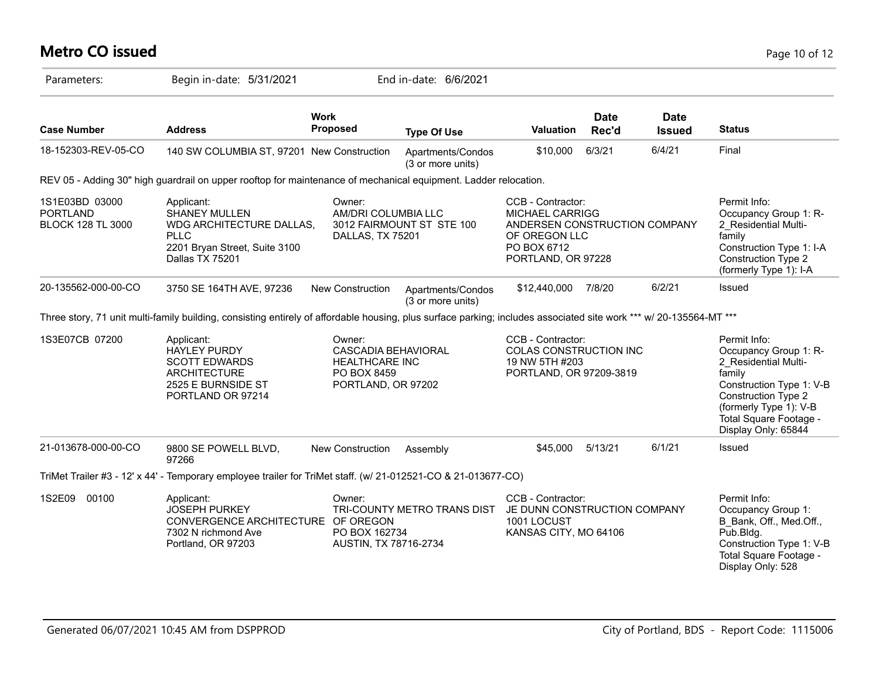# **Metro CO issued** Page 10 of 12

| Parameters:                                                   | Begin in-date: 5/31/2021                                                                                                                                           |                                                                                                    | End in-date: 6/6/2021                  |                                                                                                                                    |                      |                              |                                                                                                                                                                                                       |
|---------------------------------------------------------------|--------------------------------------------------------------------------------------------------------------------------------------------------------------------|----------------------------------------------------------------------------------------------------|----------------------------------------|------------------------------------------------------------------------------------------------------------------------------------|----------------------|------------------------------|-------------------------------------------------------------------------------------------------------------------------------------------------------------------------------------------------------|
| <b>Case Number</b>                                            | <b>Address</b>                                                                                                                                                     | <b>Work</b><br>Proposed                                                                            | <b>Type Of Use</b>                     | Valuation                                                                                                                          | <b>Date</b><br>Rec'd | <b>Date</b><br><b>Issued</b> | <b>Status</b>                                                                                                                                                                                         |
| 18-152303-REV-05-CO                                           | 140 SW COLUMBIA ST, 97201 New Construction                                                                                                                         |                                                                                                    | Apartments/Condos<br>(3 or more units) | \$10,000                                                                                                                           | 6/3/21               | 6/4/21                       | Final                                                                                                                                                                                                 |
|                                                               | REV 05 - Adding 30" high guardrail on upper rooftop for maintenance of mechanical equipment. Ladder relocation.                                                    |                                                                                                    |                                        |                                                                                                                                    |                      |                              |                                                                                                                                                                                                       |
| 1S1E03BD 03000<br><b>PORTLAND</b><br><b>BLOCK 128 TL 3000</b> | Applicant:<br><b>SHANEY MULLEN</b><br>WDG ARCHITECTURE DALLAS,<br><b>PLLC</b><br>2201 Bryan Street, Suite 3100<br>Dallas TX 75201                                  | Owner:<br>AM/DRI COLUMBIA LLC<br>DALLAS, TX 75201                                                  | 3012 FAIRMOUNT ST STE 100              | CCB - Contractor:<br><b>MICHAEL CARRIGG</b><br>ANDERSEN CONSTRUCTION COMPANY<br>OF OREGON LLC<br>PO BOX 6712<br>PORTLAND, OR 97228 |                      |                              | Permit Info:<br>Occupancy Group 1: R-<br>2 Residential Multi-<br>family<br>Construction Type 1: I-A<br>Construction Type 2<br>(formerly Type 1): I-A                                                  |
| 20-135562-000-00-CO                                           | 3750 SE 164TH AVE, 97236                                                                                                                                           | <b>New Construction</b>                                                                            | Apartments/Condos<br>(3 or more units) | \$12,440,000                                                                                                                       | 7/8/20               | 6/2/21                       | Issued                                                                                                                                                                                                |
|                                                               | Three story, 71 unit multi-family building, consisting entirely of affordable housing, plus surface parking; includes associated site work *** w/ 20-135564-MT *** |                                                                                                    |                                        |                                                                                                                                    |                      |                              |                                                                                                                                                                                                       |
| 1S3E07CB 07200                                                | Applicant:<br><b>HAYLEY PURDY</b><br><b>SCOTT EDWARDS</b><br><b>ARCHITECTURE</b><br>2525 E BURNSIDE ST<br>PORTLAND OR 97214                                        | Owner:<br><b>CASCADIA BEHAVIORAL</b><br><b>HEALTHCARE INC</b><br>PO BOX 8459<br>PORTLAND, OR 97202 |                                        | CCB - Contractor:<br>COLAS CONSTRUCTION INC<br>19 NW 5TH #203<br>PORTLAND, OR 97209-3819                                           |                      |                              | Permit Info:<br>Occupancy Group 1: R-<br>2 Residential Multi-<br>family<br>Construction Type 1: V-B<br>Construction Type 2<br>(formerly Type 1): V-B<br>Total Square Footage -<br>Display Only: 65844 |
| 21-013678-000-00-CO                                           | 9800 SE POWELL BLVD,<br>97266                                                                                                                                      | New Construction                                                                                   | Assembly                               | \$45,000                                                                                                                           | 5/13/21              | 6/1/21                       | Issued                                                                                                                                                                                                |
|                                                               | TriMet Trailer #3 - 12' x 44' - Temporary employee trailer for TriMet staff. (w/ 21-012521-CO & 21-013677-CO)                                                      |                                                                                                    |                                        |                                                                                                                                    |                      |                              |                                                                                                                                                                                                       |
| 1S2E09 00100                                                  | Applicant:<br><b>JOSEPH PURKEY</b><br>CONVERGENCE ARCHITECTURE OF OREGON<br>7302 N richmond Ave<br>Portland, OR 97203                                              | Owner:<br>PO BOX 162734<br>AUSTIN, TX 78716-2734                                                   | TRI-COUNTY METRO TRANS DIST            | CCB - Contractor:<br>JE DUNN CONSTRUCTION COMPANY<br>1001 LOCUST<br>KANSAS CITY, MO 64106                                          |                      |                              | Permit Info:<br>Occupancy Group 1:<br>B Bank, Off., Med.Off.,<br>$P$ ub.Bldg.<br>Construction Type 1: V-B<br>Total Square Footage -<br>Display Only: 528                                              |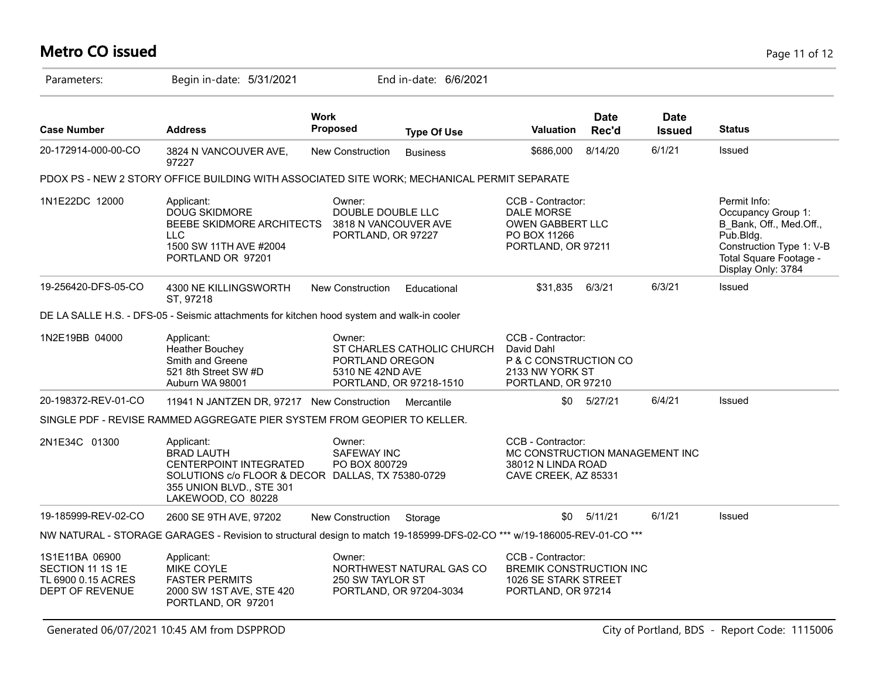#### **Metro CO issued** Page 11 of 12

| Parameters:                                                                 | Begin in-date: 5/31/2021                                                                                                                                                |                                                                           | End in-date: 6/6/2021                                 |                                                                                                   |                      |                              |                                                                                                                                                           |
|-----------------------------------------------------------------------------|-------------------------------------------------------------------------------------------------------------------------------------------------------------------------|---------------------------------------------------------------------------|-------------------------------------------------------|---------------------------------------------------------------------------------------------------|----------------------|------------------------------|-----------------------------------------------------------------------------------------------------------------------------------------------------------|
| <b>Case Number</b>                                                          | <b>Address</b>                                                                                                                                                          | <b>Work</b><br><b>Proposed</b>                                            | <b>Type Of Use</b>                                    | <b>Valuation</b>                                                                                  | <b>Date</b><br>Rec'd | <b>Date</b><br><b>Issued</b> | <b>Status</b>                                                                                                                                             |
| 20-172914-000-00-CO                                                         | 3824 N VANCOUVER AVE,<br>97227                                                                                                                                          | New Construction                                                          | <b>Business</b>                                       | \$686,000                                                                                         | 8/14/20              | 6/1/21                       | Issued                                                                                                                                                    |
|                                                                             | PDOX PS - NEW 2 STORY OFFICE BUILDING WITH ASSOCIATED SITE WORK; MECHANICAL PERMIT SEPARATE                                                                             |                                                                           |                                                       |                                                                                                   |                      |                              |                                                                                                                                                           |
| 1N1E22DC 12000                                                              | Applicant:<br><b>DOUG SKIDMORE</b><br>BEEBE SKIDMORE ARCHITECTS<br><b>LLC</b><br>1500 SW 11TH AVE #2004<br>PORTLAND OR 97201                                            | Owner:<br>DOUBLE DOUBLE LLC<br>3818 N VANCOUVER AVE<br>PORTLAND, OR 97227 |                                                       | CCB - Contractor:<br>DALE MORSE<br><b>OWEN GABBERT LLC</b><br>PO BOX 11266<br>PORTLAND, OR 97211  |                      |                              | Permit Info:<br>Occupancy Group 1:<br>B Bank, Off., Med.Off.,<br>$P$ ub.Bldg.<br>Construction Type 1: V-B<br>Total Square Footage -<br>Display Only: 3784 |
| 19-256420-DFS-05-CO                                                         | 4300 NE KILLINGSWORTH<br>ST, 97218                                                                                                                                      | <b>New Construction</b>                                                   | Educational                                           | \$31.835                                                                                          | 6/3/21               | 6/3/21                       | Issued                                                                                                                                                    |
|                                                                             | DE LA SALLE H.S. - DFS-05 - Seismic attachments for kitchen hood system and walk-in cooler                                                                              |                                                                           |                                                       |                                                                                                   |                      |                              |                                                                                                                                                           |
| 1N2E19BB 04000                                                              | Applicant:<br><b>Heather Bouchey</b><br>Smith and Greene<br>521 8th Street SW #D<br>Auburn WA 98001                                                                     | Owner:<br>PORTLAND OREGON<br>5310 NE 42ND AVE                             | ST CHARLES CATHOLIC CHURCH<br>PORTLAND, OR 97218-1510 | CCB - Contractor:<br>David Dahl<br>P & C CONSTRUCTION CO<br>2133 NW YORK ST<br>PORTLAND, OR 97210 |                      |                              |                                                                                                                                                           |
| 20-198372-REV-01-CO                                                         | 11941 N JANTZEN DR, 97217 New Construction                                                                                                                              |                                                                           | Mercantile                                            |                                                                                                   | $$0$ $5/27/21$       | 6/4/21                       | Issued                                                                                                                                                    |
|                                                                             | SINGLE PDF - REVISE RAMMED AGGREGATE PIER SYSTEM FROM GEOPIER TO KELLER.                                                                                                |                                                                           |                                                       |                                                                                                   |                      |                              |                                                                                                                                                           |
| 2N1E34C 01300                                                               | Applicant:<br><b>BRAD LAUTH</b><br><b>CENTERPOINT INTEGRATED</b><br>SOLUTIONS c/o FLOOR & DECOR DALLAS, TX 75380-0729<br>355 UNION BLVD., STE 301<br>LAKEWOOD, CO 80228 | Owner:<br><b>SAFEWAY INC</b><br>PO BOX 800729                             |                                                       | CCB - Contractor:<br>MC CONSTRUCTION MANAGEMENT INC<br>38012 N LINDA ROAD<br>CAVE CREEK, AZ 85331 |                      |                              |                                                                                                                                                           |
| 19-185999-REV-02-CO                                                         | 2600 SE 9TH AVE, 97202                                                                                                                                                  | New Construction                                                          | Storage                                               | \$0                                                                                               | 5/11/21              | 6/1/21                       | Issued                                                                                                                                                    |
|                                                                             | NW NATURAL - STORAGE GARAGES - Revision to structural design to match 19-185999-DFS-02-CO <sup>***</sup> w/19-186005-REV-01-CO <sup>***</sup>                           |                                                                           |                                                       |                                                                                                   |                      |                              |                                                                                                                                                           |
| 1S1E11BA 06900<br>SECTION 11 1S 1E<br>TL 6900 0.15 ACRES<br>DEPT OF REVENUE | Applicant:<br>MIKE COYLE<br><b>FASTER PERMITS</b><br>2000 SW 1ST AVE, STE 420<br>PORTLAND, OR 97201                                                                     | Owner:<br>250 SW TAYLOR ST                                                | NORTHWEST NATURAL GAS CO<br>PORTLAND, OR 97204-3034   | CCB - Contractor:<br>BREMIK CONSTRUCTION INC<br>1026 SE STARK STREET<br>PORTLAND, OR 97214        |                      |                              |                                                                                                                                                           |